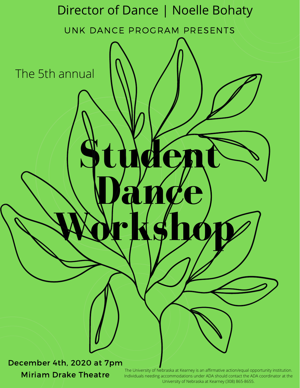

Miriam Drake Theatre

The University of Nebraska at Kearney is an affirmative action/equal opportunity institution. Individuals needing accommodations under ADA should contact the ADA coordinator at the University of Nebraska at Kearney (308) 865-8655.